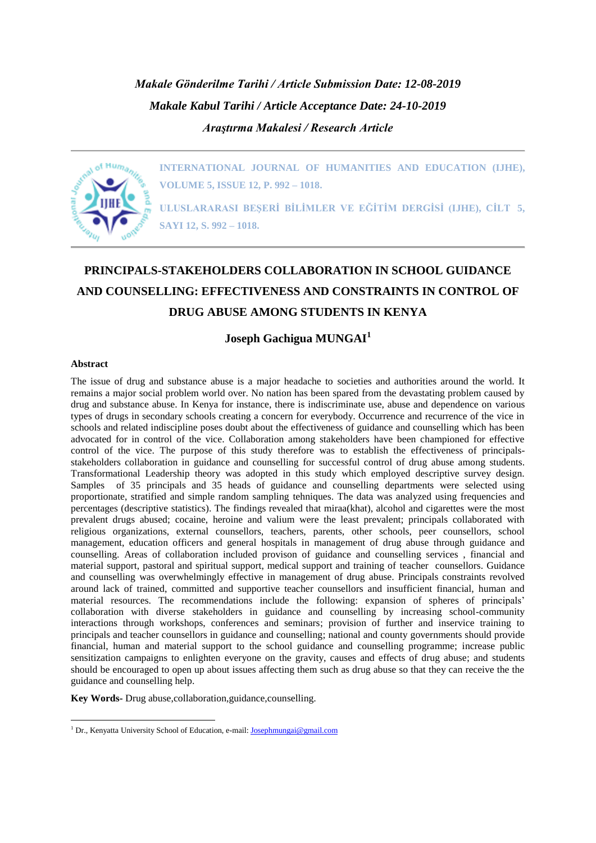*Makale Gönderilme Tarihi / Article Submission Date: 12-08-2019 Makale Kabul Tarihi / Article Acceptance Date: 24-10-2019 Araştırma Makalesi / Research Article*



**INTERNATIONAL JOURNAL OF HUMANITIES AND EDUCATION (IJHE), VOLUME 5, ISSUE 12, P. 992 – 1018.**

**ULUSLARARASI BEŞERİ BİLİMLER VE EĞİTİM DERGİSİ (IJHE), CİLT 5, SAYI 12, S. 992 – 1018.**

# **PRINCIPALS-STAKEHOLDERS COLLABORATION IN SCHOOL GUIDANCE AND COUNSELLING: EFFECTIVENESS AND CONSTRAINTS IN CONTROL OF DRUG ABUSE AMONG STUDENTS IN KENYA**

**Joseph Gachigua MUNGAI<sup>1</sup>**

#### **Abstract**

1

The issue of drug and substance abuse is a major headache to societies and authorities around the world. It remains a major social problem world over. No nation has been spared from the devastating problem caused by drug and substance abuse. In Kenya for instance, there is indiscriminate use, abuse and dependence on various types of drugs in secondary schools creating a concern for everybody. Occurrence and recurrence of the vice in schools and related indiscipline poses doubt about the effectiveness of guidance and counselling which has been advocated for in control of the vice. Collaboration among stakeholders have been championed for effective control of the vice. The purpose of this study therefore was to establish the effectiveness of principalsstakeholders collaboration in guidance and counselling for successful control of drug abuse among students. Transformational Leadership theory was adopted in this study which employed descriptive survey design. Samples of 35 principals and 35 heads of guidance and counselling departments were selected using proportionate, stratified and simple random sampling tehniques. The data was analyzed using frequencies and percentages (descriptive statistics). The findings revealed that miraa(khat), alcohol and cigarettes were the most prevalent drugs abused; cocaine, heroine and valium were the least prevalent; principals collaborated with religious organizations, external counsellors, teachers, parents, other schools, peer counsellors, school management, education officers and general hospitals in management of drug abuse through guidance and counselling. Areas of collaboration included provison of guidance and counselling services , financial and material support, pastoral and spiritual support, medical support and training of teacher counsellors. Guidance and counselling was overwhelmingly effective in management of drug abuse. Principals constraints revolved around lack of trained, committed and supportive teacher counsellors and insufficient financial, human and material resources. The recommendations include the following: expansion of spheres of principals' collaboration with diverse stakeholders in guidance and counselling by increasing school-community interactions through workshops, conferences and seminars; provision of further and inservice training to principals and teacher counsellors in guidance and counselling; national and county governments should provide financial, human and material support to the school guidance and counselling programme; increase public sensitization campaigns to enlighten everyone on the gravity, causes and effects of drug abuse; and students should be encouraged to open up about issues affecting them such as drug abuse so that they can receive the the guidance and counselling help.

**Key Words-** Drug abuse,collaboration,guidance,counselling.

<sup>&</sup>lt;sup>1</sup> Dr., Kenyatta University School of Education, e-mail: **Josephmungai@gmail.com**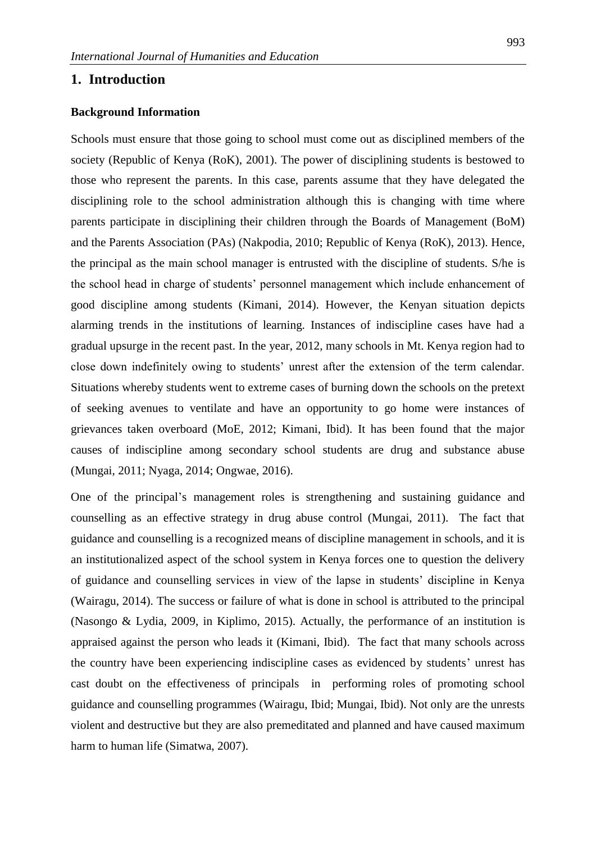### **1. Introduction**

#### **Background Information**

Schools must ensure that those going to school must come out as disciplined members of the society (Republic of Kenya (RoK), 2001). The power of disciplining students is bestowed to those who represent the parents. In this case, parents assume that they have delegated the disciplining role to the school administration although this is changing with time where parents participate in disciplining their children through the Boards of Management (BoM) and the Parents Association (PAs) (Nakpodia, 2010; Republic of Kenya (RoK), 2013). Hence, the principal as the main school manager is entrusted with the discipline of students. S/he is the school head in charge of students' personnel management which include enhancement of good discipline among students (Kimani, 2014). However, the Kenyan situation depicts alarming trends in the institutions of learning. Instances of indiscipline cases have had a gradual upsurge in the recent past. In the year, 2012, many schools in Mt. Kenya region had to close down indefinitely owing to students' unrest after the extension of the term calendar. Situations whereby students went to extreme cases of burning down the schools on the pretext of seeking avenues to ventilate and have an opportunity to go home were instances of grievances taken overboard (MoE, 2012; Kimani, Ibid). It has been found that the major causes of indiscipline among secondary school students are drug and substance abuse (Mungai, 2011; Nyaga, 2014; Ongwae, 2016).

One of the principal's management roles is strengthening and sustaining guidance and counselling as an effective strategy in drug abuse control (Mungai, 2011). The fact that guidance and counselling is a recognized means of discipline management in schools, and it is an institutionalized aspect of the school system in Kenya forces one to question the delivery of guidance and counselling services in view of the lapse in students' discipline in Kenya (Wairagu, 2014). The success or failure of what is done in school is attributed to the principal (Nasongo & Lydia, 2009, in Kiplimo, 2015). Actually, the performance of an institution is appraised against the person who leads it (Kimani, Ibid). The fact that many schools across the country have been experiencing indiscipline cases as evidenced by students' unrest has cast doubt on the effectiveness of principals in performing roles of promoting school guidance and counselling programmes (Wairagu, Ibid; Mungai, Ibid). Not only are the unrests violent and destructive but they are also premeditated and planned and have caused maximum harm to human life (Simatwa, 2007).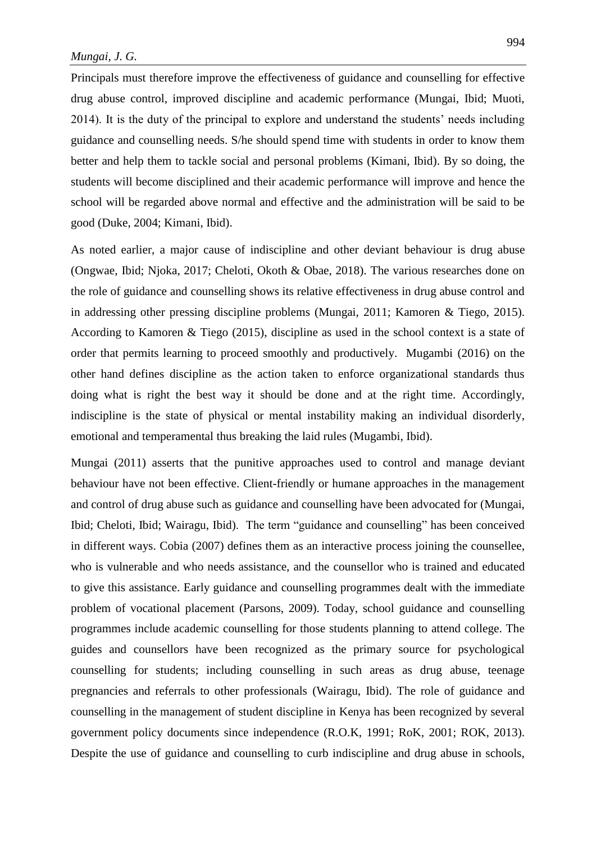Principals must therefore improve the effectiveness of guidance and counselling for effective drug abuse control, improved discipline and academic performance (Mungai, Ibid; Muoti, 2014). It is the duty of the principal to explore and understand the students' needs including guidance and counselling needs. S/he should spend time with students in order to know them better and help them to tackle social and personal problems (Kimani, Ibid). By so doing, the students will become disciplined and their academic performance will improve and hence the school will be regarded above normal and effective and the administration will be said to be good (Duke, 2004; Kimani, Ibid).

As noted earlier, a major cause of indiscipline and other deviant behaviour is drug abuse (Ongwae, Ibid; Njoka, 2017; Cheloti, Okoth & Obae, 2018). The various researches done on the role of guidance and counselling shows its relative effectiveness in drug abuse control and in addressing other pressing discipline problems (Mungai, 2011; Kamoren & Tiego, 2015). According to Kamoren & Tiego (2015), discipline as used in the school context is a state of order that permits learning to proceed smoothly and productively. Mugambi (2016) on the other hand defines discipline as the action taken to enforce organizational standards thus doing what is right the best way it should be done and at the right time. Accordingly, indiscipline is the state of physical or mental instability making an individual disorderly, emotional and temperamental thus breaking the laid rules (Mugambi, Ibid).

Mungai (2011) asserts that the punitive approaches used to control and manage deviant behaviour have not been effective. Client-friendly or humane approaches in the management and control of drug abuse such as guidance and counselling have been advocated for (Mungai, Ibid; Cheloti, Ibid; Wairagu, Ibid). The term "guidance and counselling" has been conceived in different ways. Cobia (2007) defines them as an interactive process joining the counsellee, who is vulnerable and who needs assistance, and the counsellor who is trained and educated to give this assistance. Early guidance and counselling programmes dealt with the immediate problem of vocational placement (Parsons, 2009). Today, school guidance and counselling programmes include academic counselling for those students planning to attend college. The guides and counsellors have been recognized as the primary source for psychological counselling for students; including counselling in such areas as drug abuse, teenage pregnancies and referrals to other professionals (Wairagu, Ibid). The role of guidance and counselling in the management of student discipline in Kenya has been recognized by several government policy documents since independence (R.O.K, 1991; RoK, 2001; ROK, 2013). Despite the use of guidance and counselling to curb indiscipline and drug abuse in schools,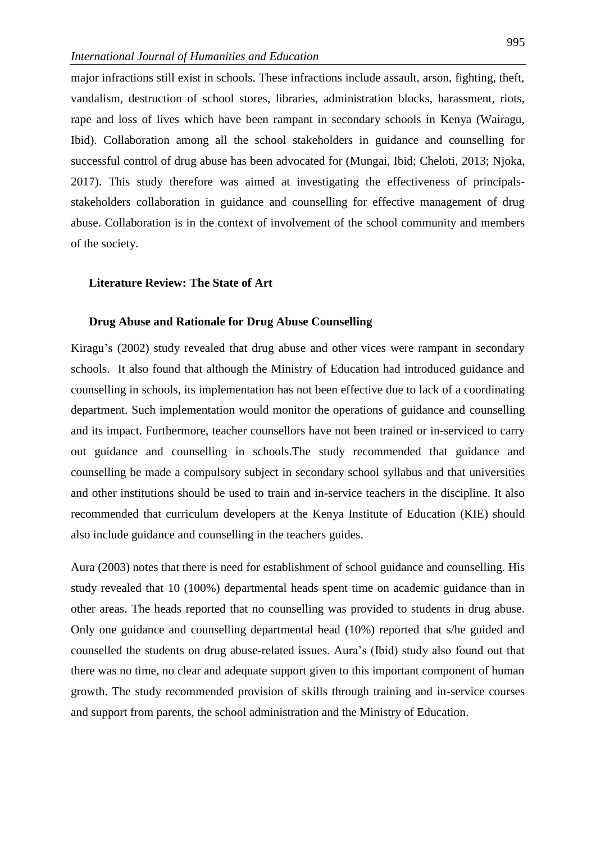major infractions still exist in schools. These infractions include assault, arson, fighting, theft, vandalism, destruction of school stores, libraries, administration blocks, harassment, riots, rape and loss of lives which have been rampant in secondary schools in Kenya (Wairagu, Ibid). Collaboration among all the school stakeholders in guidance and counselling for successful control of drug abuse has been advocated for (Mungai, Ibid; Cheloti, 2013; Njoka, 2017). This study therefore was aimed at investigating the effectiveness of principalsstakeholders collaboration in guidance and counselling for effective management of drug abuse. Collaboration is in the context of involvement of the school community and members of the society.

#### **Literature Review: The State of Art**

#### **Drug Abuse and Rationale for Drug Abuse Counselling**

Kiragu's (2002) study revealed that drug abuse and other vices were rampant in secondary schools. It also found that although the Ministry of Education had introduced guidance and counselling in schools, its implementation has not been effective due to lack of a coordinating department. Such implementation would monitor the operations of guidance and counselling and its impact. Furthermore, teacher counsellors have not been trained or in-serviced to carry out guidance and counselling in schools.The study recommended that guidance and counselling be made a compulsory subject in secondary school syllabus and that universities and other institutions should be used to train and in-service teachers in the discipline. It also recommended that curriculum developers at the Kenya Institute of Education (KIE) should also include guidance and counselling in the teachers guides.

Aura (2003) notes that there is need for establishment of school guidance and counselling. His study revealed that 10 (100%) departmental heads spent time on academic guidance than in other areas. The heads reported that no counselling was provided to students in drug abuse. Only one guidance and counselling departmental head (10%) reported that s/he guided and counselled the students on drug abuse-related issues. Aura's (Ibid) study also found out that there was no time, no clear and adequate support given to this important component of human growth. The study recommended provision of skills through training and in-service courses and support from parents, the school administration and the Ministry of Education.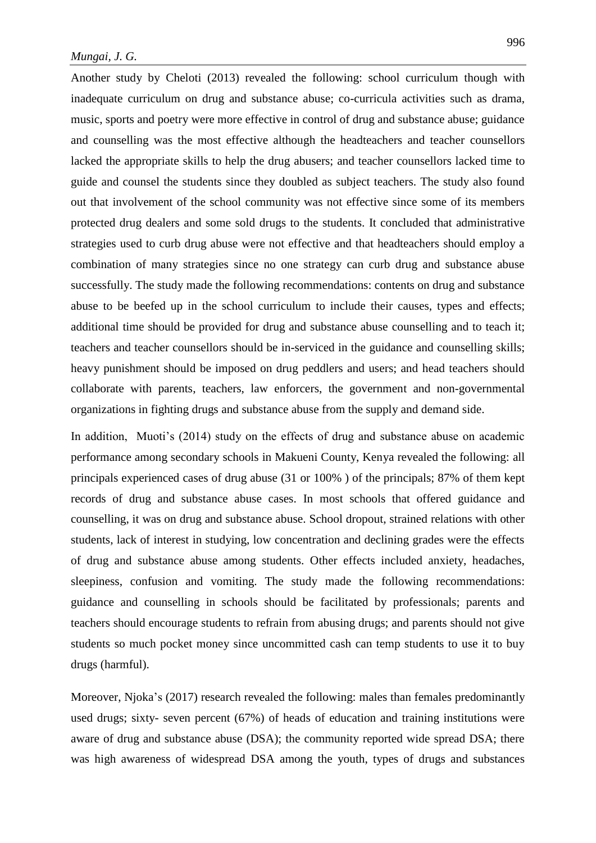Another study by Cheloti (2013) revealed the following: school curriculum though with inadequate curriculum on drug and substance abuse; co-curricula activities such as drama, music, sports and poetry were more effective in control of drug and substance abuse; guidance and counselling was the most effective although the headteachers and teacher counsellors lacked the appropriate skills to help the drug abusers; and teacher counsellors lacked time to guide and counsel the students since they doubled as subject teachers. The study also found out that involvement of the school community was not effective since some of its members protected drug dealers and some sold drugs to the students. It concluded that administrative strategies used to curb drug abuse were not effective and that headteachers should employ a combination of many strategies since no one strategy can curb drug and substance abuse successfully. The study made the following recommendations: contents on drug and substance abuse to be beefed up in the school curriculum to include their causes, types and effects; additional time should be provided for drug and substance abuse counselling and to teach it; teachers and teacher counsellors should be in-serviced in the guidance and counselling skills; heavy punishment should be imposed on drug peddlers and users; and head teachers should collaborate with parents, teachers, law enforcers, the government and non-governmental organizations in fighting drugs and substance abuse from the supply and demand side.

In addition, Muoti's (2014) study on the effects of drug and substance abuse on academic performance among secondary schools in Makueni County, Kenya revealed the following: all principals experienced cases of drug abuse (31 or 100% ) of the principals; 87% of them kept records of drug and substance abuse cases. In most schools that offered guidance and counselling, it was on drug and substance abuse. School dropout, strained relations with other students, lack of interest in studying, low concentration and declining grades were the effects of drug and substance abuse among students. Other effects included anxiety, headaches, sleepiness, confusion and vomiting. The study made the following recommendations: guidance and counselling in schools should be facilitated by professionals; parents and teachers should encourage students to refrain from abusing drugs; and parents should not give students so much pocket money since uncommitted cash can temp students to use it to buy drugs (harmful).

Moreover, Njoka's (2017) research revealed the following: males than females predominantly used drugs; sixty- seven percent (67%) of heads of education and training institutions were aware of drug and substance abuse (DSA); the community reported wide spread DSA; there was high awareness of widespread DSA among the youth, types of drugs and substances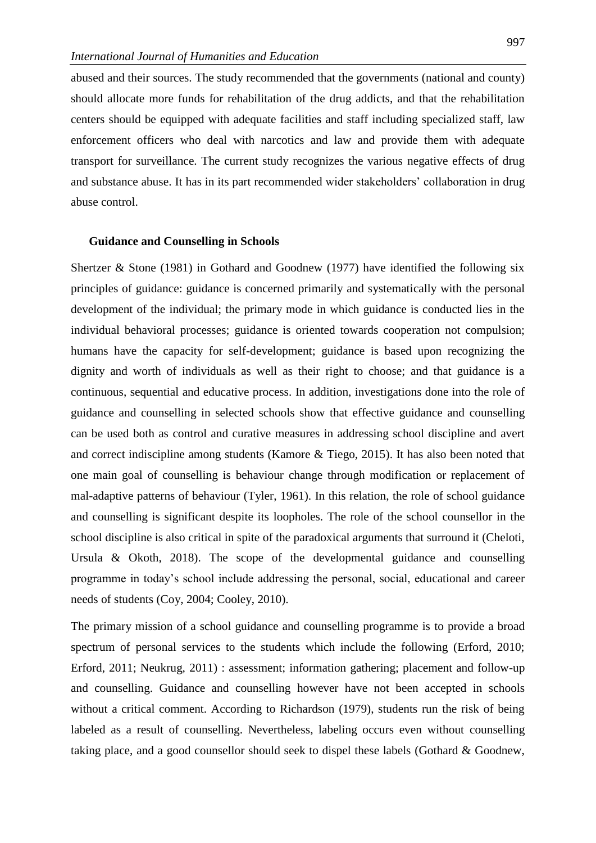abused and their sources. The study recommended that the governments (national and county) should allocate more funds for rehabilitation of the drug addicts, and that the rehabilitation centers should be equipped with adequate facilities and staff including specialized staff, law enforcement officers who deal with narcotics and law and provide them with adequate transport for surveillance. The current study recognizes the various negative effects of drug and substance abuse. It has in its part recommended wider stakeholders' collaboration in drug abuse control.

#### **Guidance and Counselling in Schools**

Shertzer & Stone (1981) in Gothard and Goodnew (1977) have identified the following six principles of guidance: guidance is concerned primarily and systematically with the personal development of the individual; the primary mode in which guidance is conducted lies in the individual behavioral processes; guidance is oriented towards cooperation not compulsion; humans have the capacity for self-development; guidance is based upon recognizing the dignity and worth of individuals as well as their right to choose; and that guidance is a continuous, sequential and educative process. In addition, investigations done into the role of guidance and counselling in selected schools show that effective guidance and counselling can be used both as control and curative measures in addressing school discipline and avert and correct indiscipline among students (Kamore & Tiego, 2015). It has also been noted that one main goal of counselling is behaviour change through modification or replacement of mal-adaptive patterns of behaviour (Tyler, 1961). In this relation, the role of school guidance and counselling is significant despite its loopholes. The role of the school counsellor in the school discipline is also critical in spite of the paradoxical arguments that surround it (Cheloti, Ursula & Okoth, 2018). The scope of the developmental guidance and counselling programme in today's school include addressing the personal, social, educational and career needs of students (Coy, 2004; Cooley, 2010).

The primary mission of a school guidance and counselling programme is to provide a broad spectrum of personal services to the students which include the following (Erford, 2010; Erford, 2011; Neukrug, 2011) : assessment; information gathering; placement and follow-up and counselling. Guidance and counselling however have not been accepted in schools without a critical comment. According to Richardson (1979), students run the risk of being labeled as a result of counselling. Nevertheless, labeling occurs even without counselling taking place, and a good counsellor should seek to dispel these labels (Gothard & Goodnew,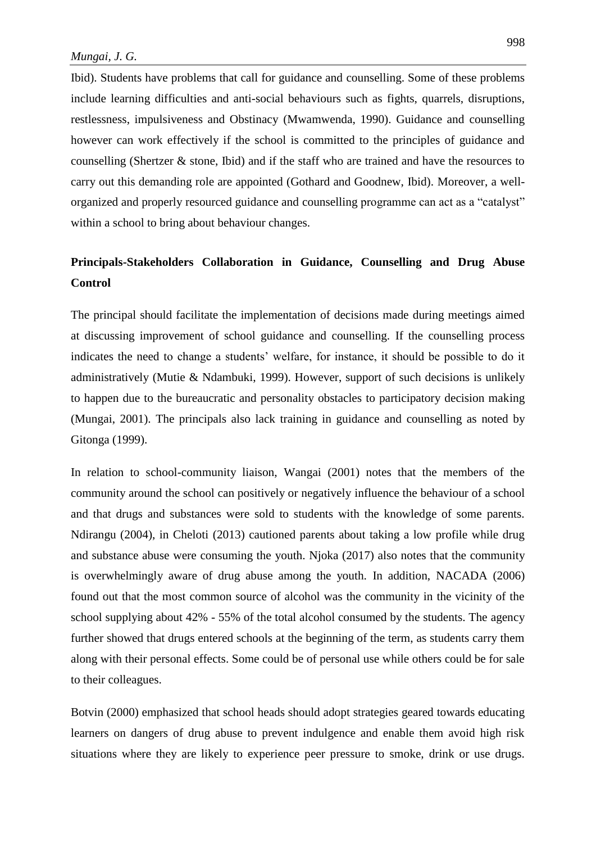Ibid). Students have problems that call for guidance and counselling. Some of these problems include learning difficulties and anti-social behaviours such as fights, quarrels, disruptions, restlessness, impulsiveness and Obstinacy (Mwamwenda, 1990). Guidance and counselling however can work effectively if the school is committed to the principles of guidance and counselling (Shertzer & stone, Ibid) and if the staff who are trained and have the resources to carry out this demanding role are appointed (Gothard and Goodnew, Ibid). Moreover, a wellorganized and properly resourced guidance and counselling programme can act as a "catalyst" within a school to bring about behaviour changes.

## **Principals-Stakeholders Collaboration in Guidance, Counselling and Drug Abuse Control**

The principal should facilitate the implementation of decisions made during meetings aimed at discussing improvement of school guidance and counselling. If the counselling process indicates the need to change a students' welfare, for instance, it should be possible to do it administratively (Mutie & Ndambuki, 1999). However, support of such decisions is unlikely to happen due to the bureaucratic and personality obstacles to participatory decision making (Mungai, 2001). The principals also lack training in guidance and counselling as noted by Gitonga (1999).

In relation to school-community liaison, Wangai (2001) notes that the members of the community around the school can positively or negatively influence the behaviour of a school and that drugs and substances were sold to students with the knowledge of some parents. Ndirangu (2004), in Cheloti (2013) cautioned parents about taking a low profile while drug and substance abuse were consuming the youth. Njoka (2017) also notes that the community is overwhelmingly aware of drug abuse among the youth. In addition, NACADA (2006) found out that the most common source of alcohol was the community in the vicinity of the school supplying about 42% - 55% of the total alcohol consumed by the students. The agency further showed that drugs entered schools at the beginning of the term, as students carry them along with their personal effects. Some could be of personal use while others could be for sale to their colleagues.

Botvin (2000) emphasized that school heads should adopt strategies geared towards educating learners on dangers of drug abuse to prevent indulgence and enable them avoid high risk situations where they are likely to experience peer pressure to smoke, drink or use drugs.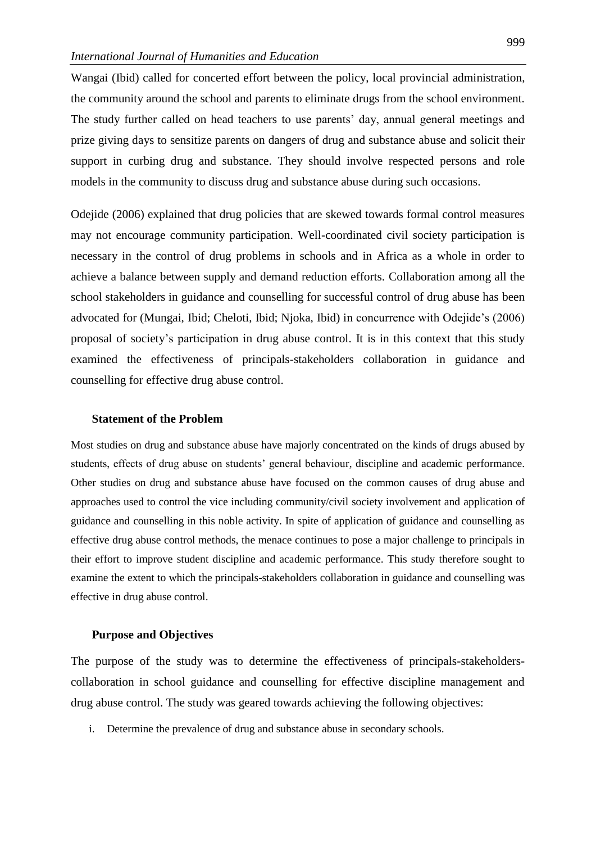Wangai (Ibid) called for concerted effort between the policy, local provincial administration, the community around the school and parents to eliminate drugs from the school environment. The study further called on head teachers to use parents' day, annual general meetings and prize giving days to sensitize parents on dangers of drug and substance abuse and solicit their support in curbing drug and substance. They should involve respected persons and role models in the community to discuss drug and substance abuse during such occasions.

Odejide (2006) explained that drug policies that are skewed towards formal control measures may not encourage community participation. Well-coordinated civil society participation is necessary in the control of drug problems in schools and in Africa as a whole in order to achieve a balance between supply and demand reduction efforts. Collaboration among all the school stakeholders in guidance and counselling for successful control of drug abuse has been advocated for (Mungai, Ibid; Cheloti, Ibid; Njoka, Ibid) in concurrence with Odejide's (2006) proposal of society's participation in drug abuse control. It is in this context that this study examined the effectiveness of principals-stakeholders collaboration in guidance and counselling for effective drug abuse control.

#### **Statement of the Problem**

Most studies on drug and substance abuse have majorly concentrated on the kinds of drugs abused by students, effects of drug abuse on students' general behaviour, discipline and academic performance. Other studies on drug and substance abuse have focused on the common causes of drug abuse and approaches used to control the vice including community/civil society involvement and application of guidance and counselling in this noble activity. In spite of application of guidance and counselling as effective drug abuse control methods, the menace continues to pose a major challenge to principals in their effort to improve student discipline and academic performance. This study therefore sought to examine the extent to which the principals-stakeholders collaboration in guidance and counselling was effective in drug abuse control.

#### **Purpose and Objectives**

The purpose of the study was to determine the effectiveness of principals-stakeholderscollaboration in school guidance and counselling for effective discipline management and drug abuse control. The study was geared towards achieving the following objectives:

i. Determine the prevalence of drug and substance abuse in secondary schools.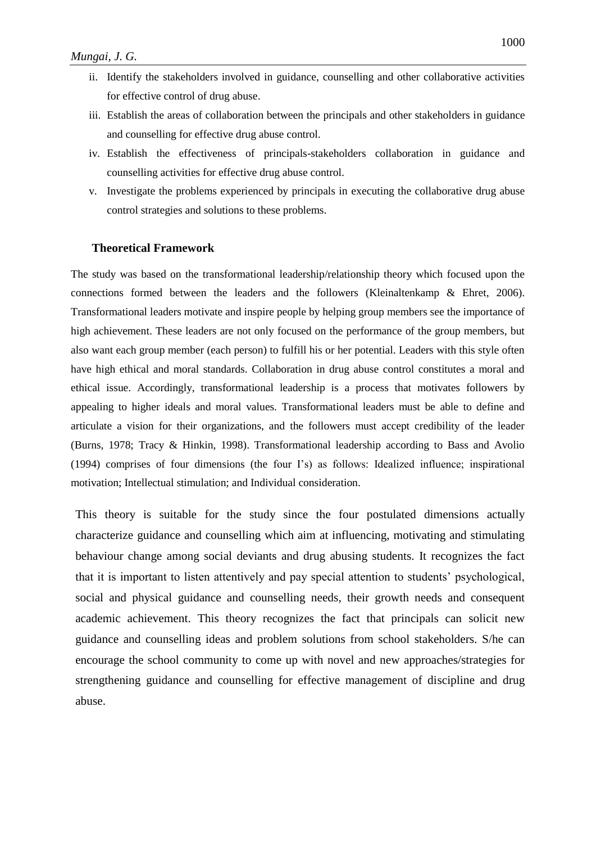- ii. Identify the stakeholders involved in guidance, counselling and other collaborative activities for effective control of drug abuse.
- iii. Establish the areas of collaboration between the principals and other stakeholders in guidance and counselling for effective drug abuse control.
- iv. Establish the effectiveness of principals-stakeholders collaboration in guidance and counselling activities for effective drug abuse control.
- v. Investigate the problems experienced by principals in executing the collaborative drug abuse control strategies and solutions to these problems.

#### **Theoretical Framework**

The study was based on the transformational leadership/relationship theory which focused upon the connections formed between the leaders and the followers (Kleinaltenkamp & Ehret, 2006). Transformational leaders motivate and inspire people by helping group members see the importance of high achievement. These leaders are not only focused on the performance of the group members, but also want each group member (each person) to fulfill his or her potential. Leaders with this style often have high ethical and moral standards. Collaboration in drug abuse control constitutes a moral and ethical issue. Accordingly, transformational leadership is a process that motivates followers by appealing to higher ideals and moral values. Transformational leaders must be able to define and articulate a vision for their organizations, and the followers must accept credibility of the leader (Burns, 1978; Tracy & Hinkin, 1998). Transformational leadership according to Bass and Avolio (1994) comprises of four dimensions (the four I's) as follows: Idealized influence; inspirational motivation; Intellectual stimulation; and Individual consideration.

This theory is suitable for the study since the four postulated dimensions actually characterize guidance and counselling which aim at influencing, motivating and stimulating behaviour change among social deviants and drug abusing students. It recognizes the fact that it is important to listen attentively and pay special attention to students' psychological, social and physical guidance and counselling needs, their growth needs and consequent academic achievement. This theory recognizes the fact that principals can solicit new guidance and counselling ideas and problem solutions from school stakeholders. S/he can encourage the school community to come up with novel and new approaches/strategies for strengthening guidance and counselling for effective management of discipline and drug abuse.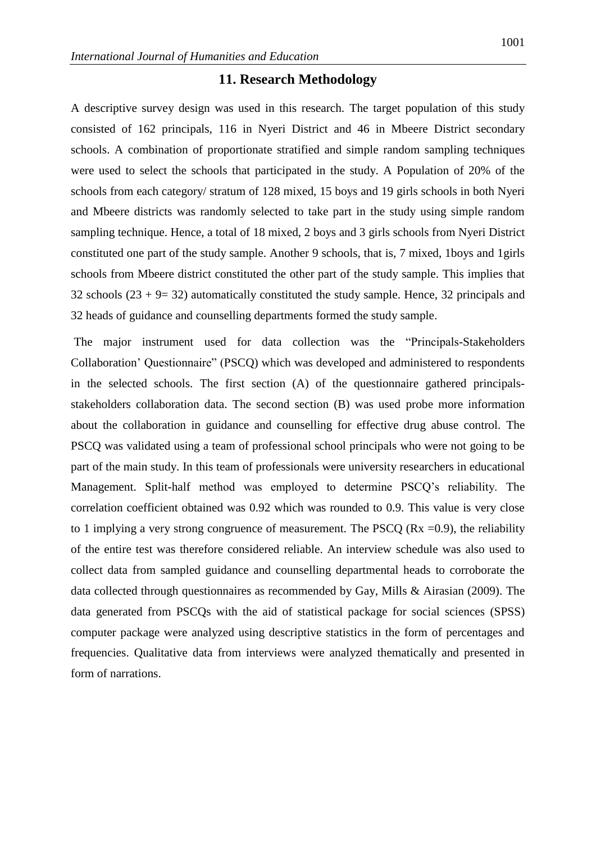### **11. Research Methodology**

A descriptive survey design was used in this research. The target population of this study consisted of 162 principals, 116 in Nyeri District and 46 in Mbeere District secondary schools. A combination of proportionate stratified and simple random sampling techniques were used to select the schools that participated in the study. A Population of 20% of the schools from each category/ stratum of 128 mixed, 15 boys and 19 girls schools in both Nyeri and Mbeere districts was randomly selected to take part in the study using simple random sampling technique. Hence, a total of 18 mixed, 2 boys and 3 girls schools from Nyeri District constituted one part of the study sample. Another 9 schools, that is, 7 mixed, 1boys and 1girls schools from Mbeere district constituted the other part of the study sample. This implies that 32 schools  $(23 + 9 = 32)$  automatically constituted the study sample. Hence, 32 principals and 32 heads of guidance and counselling departments formed the study sample.

The major instrument used for data collection was the "Principals-Stakeholders Collaboration' Questionnaire" (PSCQ) which was developed and administered to respondents in the selected schools. The first section (A) of the questionnaire gathered principalsstakeholders collaboration data. The second section (B) was used probe more information about the collaboration in guidance and counselling for effective drug abuse control. The PSCQ was validated using a team of professional school principals who were not going to be part of the main study. In this team of professionals were university researchers in educational Management. Split-half method was employed to determine PSCQ's reliability. The correlation coefficient obtained was 0.92 which was rounded to 0.9. This value is very close to 1 implying a very strong congruence of measurement. The PSCQ ( $Rx = 0.9$ ), the reliability of the entire test was therefore considered reliable. An interview schedule was also used to collect data from sampled guidance and counselling departmental heads to corroborate the data collected through questionnaires as recommended by Gay, Mills & Airasian (2009). The data generated from PSCQs with the aid of statistical package for social sciences (SPSS) computer package were analyzed using descriptive statistics in the form of percentages and frequencies. Qualitative data from interviews were analyzed thematically and presented in form of narrations.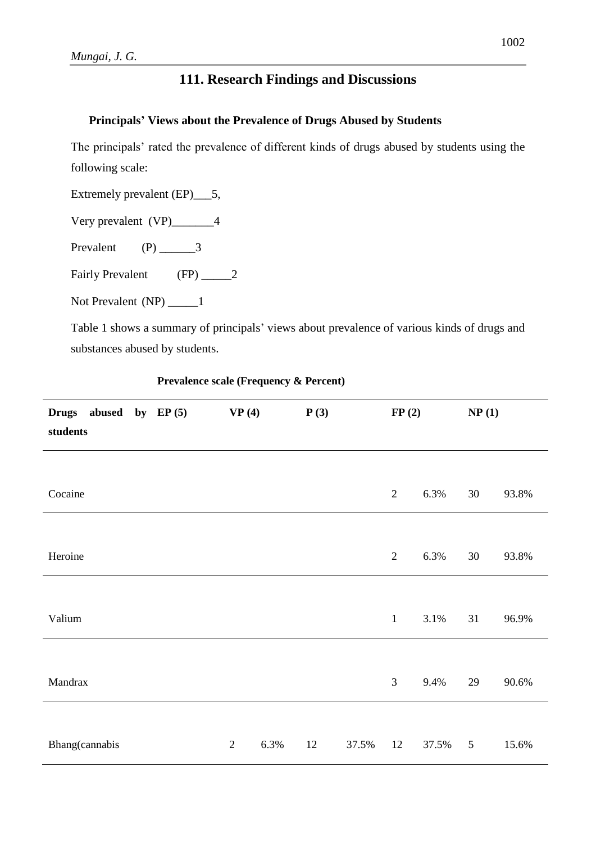### **111. Research Findings and Discussions**

### **Principals' Views about the Prevalence of Drugs Abused by Students**

The principals' rated the prevalence of different kinds of drugs abused by students using the following scale:

Extremely prevalent (EP)\_\_\_5,

Very prevalent (VP)\_\_\_\_\_\_\_4

Prevalent  $(P)$  3

Fairly Prevalent (FP) 2

Not Prevalent (NP) \_\_\_\_\_1

Table 1 shows a summary of principals' views about prevalence of various kinds of drugs and substances abused by students.

| <b>Drugs</b><br>abused<br>by EP $(5)$<br>students | VP(4)          |      | P(3) |       | FP(2)          |       | NP(1)          |       |
|---------------------------------------------------|----------------|------|------|-------|----------------|-------|----------------|-------|
|                                                   |                |      |      |       |                |       |                |       |
| Cocaine                                           |                |      |      |       | $\mathbf{2}$   | 6.3%  | $30\,$         | 93.8% |
|                                                   |                |      |      |       |                |       |                |       |
| Heroine                                           |                |      |      |       | $\overline{2}$ | 6.3%  | 30             | 93.8% |
|                                                   |                |      |      |       |                |       |                |       |
| Valium                                            |                |      |      |       | $\mathbf{1}$   | 3.1%  | 31             | 96.9% |
|                                                   |                |      |      |       |                |       |                |       |
| Mandrax                                           |                |      |      |       | $\overline{3}$ | 9.4%  | 29             | 90.6% |
|                                                   |                |      |      |       |                |       |                |       |
| Bhang(cannabis                                    | $\overline{2}$ | 6.3% | 12   | 37.5% | 12             | 37.5% | $\overline{5}$ | 15.6% |

**Prevalence scale (Frequency & Percent)**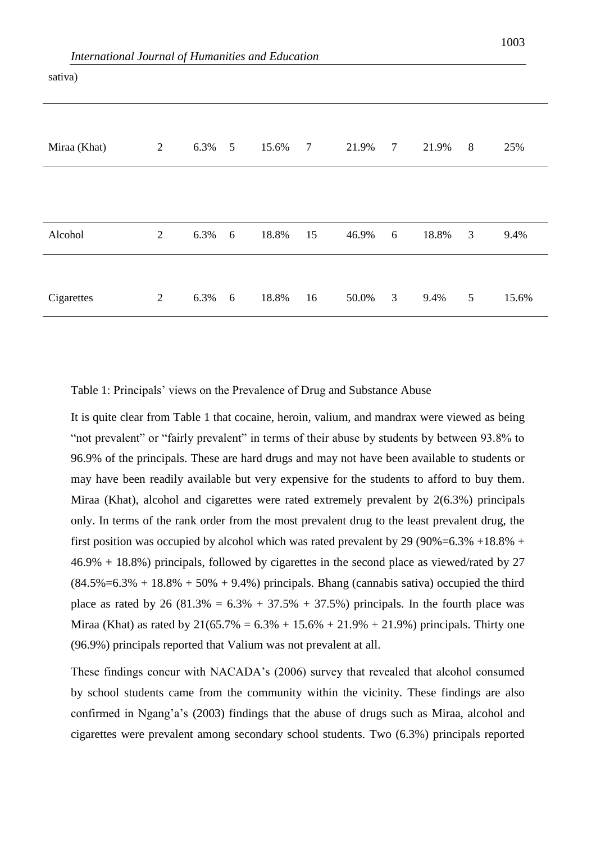| Miraa (Khat) | $\overline{2}$ | 6.3% | 5 | 15.6% | $\overline{7}$ | 21.9% | $\overline{7}$ | 21.9% | 8               | 25%   |
|--------------|----------------|------|---|-------|----------------|-------|----------------|-------|-----------------|-------|
|              |                |      |   |       |                |       |                |       |                 |       |
|              |                |      |   |       |                |       |                |       |                 |       |
| Alcohol      | $\overline{2}$ | 6.3% | 6 | 18.8% | 15             | 46.9% | 6              | 18.8% | 3               | 9.4%  |
|              |                |      |   |       |                |       |                |       |                 |       |
| Cigarettes   | $\mathfrak{2}$ | 6.3% | 6 | 18.8% | 16             | 50.0% | 3              | 9.4%  | $5\overline{)}$ | 15.6% |

sativa)

Table 1: Principals' views on the Prevalence of Drug and Substance Abuse

It is quite clear from Table 1 that cocaine, heroin, valium, and mandrax were viewed as being "not prevalent" or "fairly prevalent" in terms of their abuse by students by between 93.8% to 96.9% of the principals. These are hard drugs and may not have been available to students or may have been readily available but very expensive for the students to afford to buy them. Miraa (Khat), alcohol and cigarettes were rated extremely prevalent by 2(6.3%) principals only. In terms of the rank order from the most prevalent drug to the least prevalent drug, the first position was occupied by alcohol which was rated prevalent by 29 (90%=6.3% +18.8% + 46.9% + 18.8%) principals, followed by cigarettes in the second place as viewed/rated by 27  $(84.5\% = 6.3\% + 18.8\% + 50\% + 9.4\%)$  principals. Bhang (cannabis sativa) occupied the third place as rated by 26 (81.3% =  $6.3\% + 37.5\% + 37.5\%$ ) principals. In the fourth place was Miraa (Khat) as rated by  $21(65.7\% = 6.3\% + 15.6\% + 21.9\% + 21.9\%)$  principals. Thirty one (96.9%) principals reported that Valium was not prevalent at all.

These findings concur with NACADA's (2006) survey that revealed that alcohol consumed by school students came from the community within the vicinity. These findings are also confirmed in Ngang'a's (2003) findings that the abuse of drugs such as Miraa, alcohol and cigarettes were prevalent among secondary school students. Two (6.3%) principals reported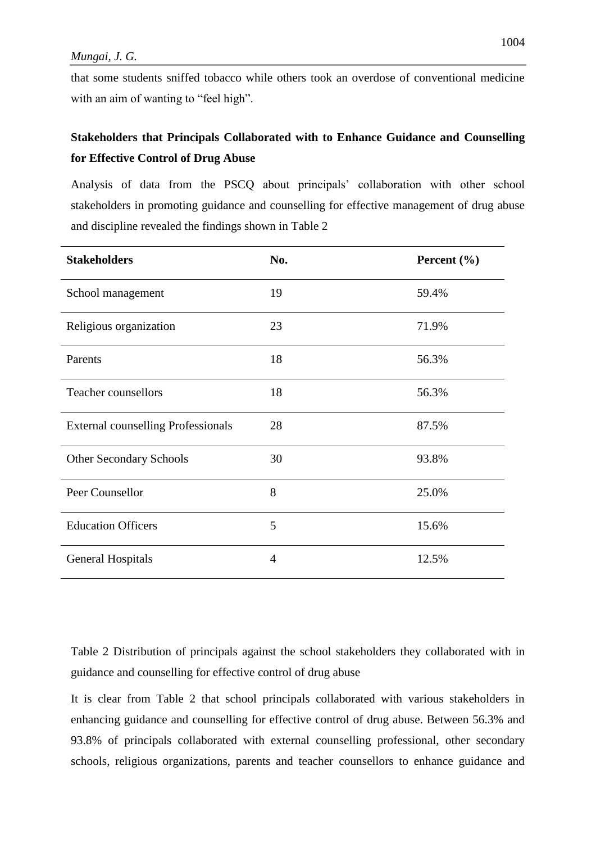that some students sniffed tobacco while others took an overdose of conventional medicine with an aim of wanting to "feel high".

### **Stakeholders that Principals Collaborated with to Enhance Guidance and Counselling for Effective Control of Drug Abuse**

Analysis of data from the PSCQ about principals' collaboration with other school stakeholders in promoting guidance and counselling for effective management of drug abuse and discipline revealed the findings shown in Table 2

| <b>Stakeholders</b>                       | No.            | Percent $(\% )$ |
|-------------------------------------------|----------------|-----------------|
| School management                         | 19             | 59.4%           |
| Religious organization                    | 23             | 71.9%           |
| Parents                                   | 18             | 56.3%           |
| <b>Teacher counsellors</b>                | 18             | 56.3%           |
| <b>External counselling Professionals</b> | 28             | 87.5%           |
| <b>Other Secondary Schools</b>            | 30             | 93.8%           |
| Peer Counsellor                           | 8              | 25.0%           |
| <b>Education Officers</b>                 | 5              | 15.6%           |
| <b>General Hospitals</b>                  | $\overline{4}$ | 12.5%           |

Table 2 Distribution of principals against the school stakeholders they collaborated with in guidance and counselling for effective control of drug abuse

It is clear from Table 2 that school principals collaborated with various stakeholders in enhancing guidance and counselling for effective control of drug abuse. Between 56.3% and 93.8% of principals collaborated with external counselling professional, other secondary schools, religious organizations, parents and teacher counsellors to enhance guidance and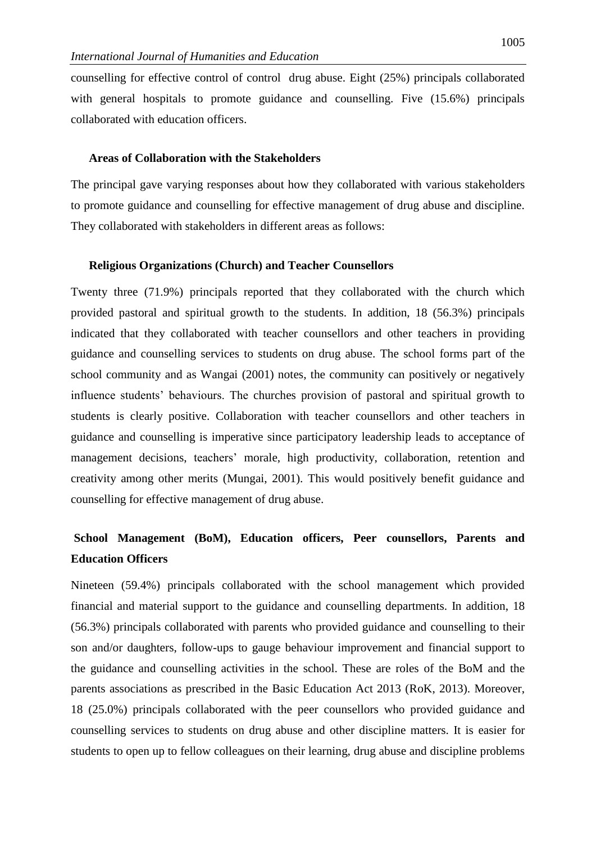counselling for effective control of control drug abuse. Eight (25%) principals collaborated with general hospitals to promote guidance and counselling. Five (15.6%) principals collaborated with education officers.

#### **Areas of Collaboration with the Stakeholders**

The principal gave varying responses about how they collaborated with various stakeholders to promote guidance and counselling for effective management of drug abuse and discipline. They collaborated with stakeholders in different areas as follows:

#### **Religious Organizations (Church) and Teacher Counsellors**

Twenty three (71.9%) principals reported that they collaborated with the church which provided pastoral and spiritual growth to the students. In addition, 18 (56.3%) principals indicated that they collaborated with teacher counsellors and other teachers in providing guidance and counselling services to students on drug abuse. The school forms part of the school community and as Wangai (2001) notes, the community can positively or negatively influence students' behaviours. The churches provision of pastoral and spiritual growth to students is clearly positive. Collaboration with teacher counsellors and other teachers in guidance and counselling is imperative since participatory leadership leads to acceptance of management decisions, teachers' morale, high productivity, collaboration, retention and creativity among other merits (Mungai, 2001). This would positively benefit guidance and counselling for effective management of drug abuse.

## **School Management (BoM), Education officers, Peer counsellors, Parents and Education Officers**

Nineteen (59.4%) principals collaborated with the school management which provided financial and material support to the guidance and counselling departments. In addition, 18 (56.3%) principals collaborated with parents who provided guidance and counselling to their son and/or daughters, follow-ups to gauge behaviour improvement and financial support to the guidance and counselling activities in the school. These are roles of the BoM and the parents associations as prescribed in the Basic Education Act 2013 (RoK, 2013). Moreover, 18 (25.0%) principals collaborated with the peer counsellors who provided guidance and counselling services to students on drug abuse and other discipline matters. It is easier for students to open up to fellow colleagues on their learning, drug abuse and discipline problems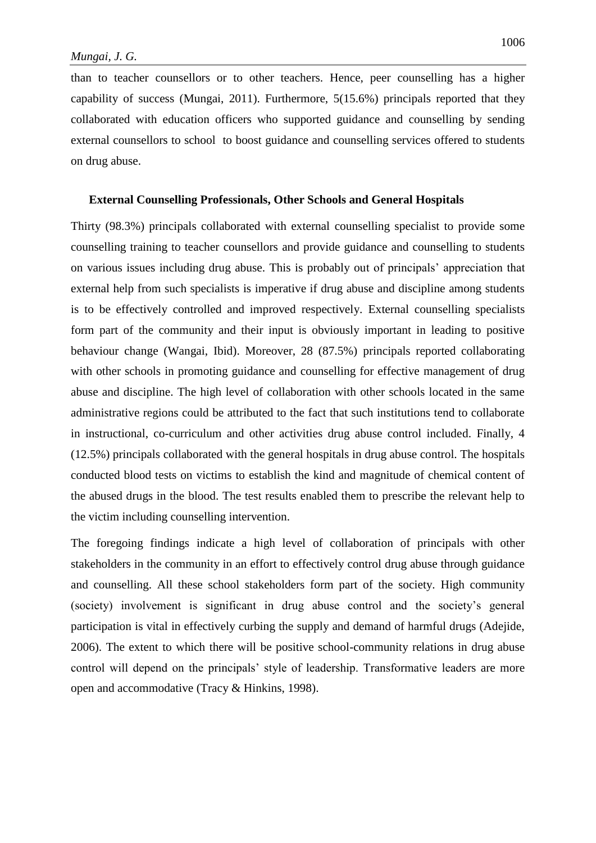than to teacher counsellors or to other teachers. Hence, peer counselling has a higher capability of success (Mungai, 2011). Furthermore, 5(15.6%) principals reported that they collaborated with education officers who supported guidance and counselling by sending external counsellors to school to boost guidance and counselling services offered to students on drug abuse.

#### **External Counselling Professionals, Other Schools and General Hospitals**

Thirty (98.3%) principals collaborated with external counselling specialist to provide some counselling training to teacher counsellors and provide guidance and counselling to students on various issues including drug abuse. This is probably out of principals' appreciation that external help from such specialists is imperative if drug abuse and discipline among students is to be effectively controlled and improved respectively. External counselling specialists form part of the community and their input is obviously important in leading to positive behaviour change (Wangai, Ibid). Moreover, 28 (87.5%) principals reported collaborating with other schools in promoting guidance and counselling for effective management of drug abuse and discipline. The high level of collaboration with other schools located in the same administrative regions could be attributed to the fact that such institutions tend to collaborate in instructional, co-curriculum and other activities drug abuse control included. Finally, 4 (12.5%) principals collaborated with the general hospitals in drug abuse control. The hospitals conducted blood tests on victims to establish the kind and magnitude of chemical content of the abused drugs in the blood. The test results enabled them to prescribe the relevant help to the victim including counselling intervention.

The foregoing findings indicate a high level of collaboration of principals with other stakeholders in the community in an effort to effectively control drug abuse through guidance and counselling. All these school stakeholders form part of the society. High community (society) involvement is significant in drug abuse control and the society's general participation is vital in effectively curbing the supply and demand of harmful drugs (Adejide, 2006). The extent to which there will be positive school-community relations in drug abuse control will depend on the principals' style of leadership. Transformative leaders are more open and accommodative (Tracy & Hinkins, 1998).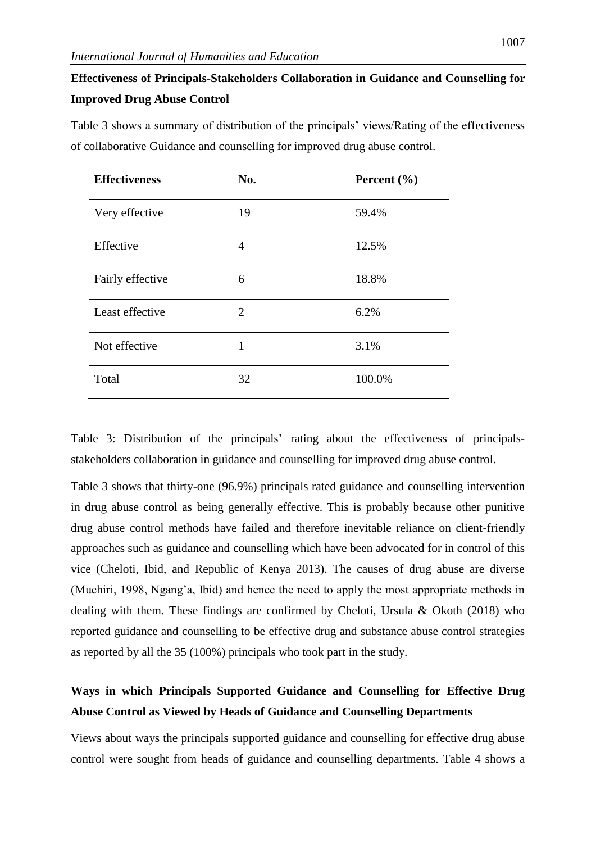## **Effectiveness of Principals-Stakeholders Collaboration in Guidance and Counselling for Improved Drug Abuse Control**

Table 3 shows a summary of distribution of the principals' views/Rating of the effectiveness of collaborative Guidance and counselling for improved drug abuse control.

| <b>Effectiveness</b> | No. | Percent $(\% )$ |
|----------------------|-----|-----------------|
| Very effective       | 19  | 59.4%           |
| Effective            | 4   | 12.5%           |
| Fairly effective     | 6   | 18.8%           |
| Least effective      | 2   | 6.2%            |
| Not effective        | 1   | 3.1%            |
| Total                | 32  | 100.0%          |

Table 3: Distribution of the principals' rating about the effectiveness of principalsstakeholders collaboration in guidance and counselling for improved drug abuse control.

Table 3 shows that thirty-one (96.9%) principals rated guidance and counselling intervention in drug abuse control as being generally effective. This is probably because other punitive drug abuse control methods have failed and therefore inevitable reliance on client-friendly approaches such as guidance and counselling which have been advocated for in control of this vice (Cheloti, Ibid, and Republic of Kenya 2013). The causes of drug abuse are diverse (Muchiri, 1998, Ngang'a, Ibid) and hence the need to apply the most appropriate methods in dealing with them. These findings are confirmed by Cheloti, Ursula & Okoth (2018) who reported guidance and counselling to be effective drug and substance abuse control strategies as reported by all the 35 (100%) principals who took part in the study.

### **Ways in which Principals Supported Guidance and Counselling for Effective Drug Abuse Control as Viewed by Heads of Guidance and Counselling Departments**

Views about ways the principals supported guidance and counselling for effective drug abuse control were sought from heads of guidance and counselling departments. Table 4 shows a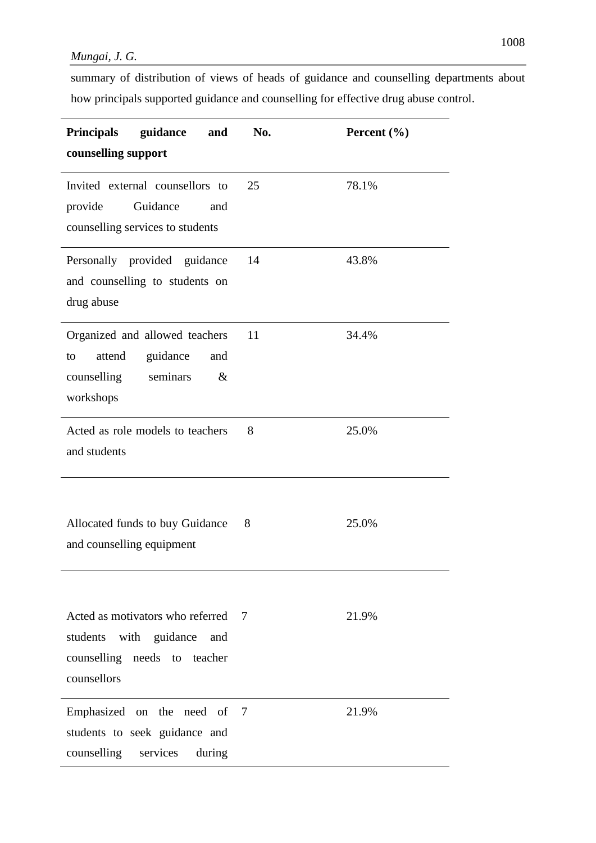summary of distribution of views of heads of guidance and counselling departments about how principals supported guidance and counselling for effective drug abuse control.

| Principals guidance<br>and<br>counselling support                                                              | No.            | Percent $(\% )$ |
|----------------------------------------------------------------------------------------------------------------|----------------|-----------------|
| Invited external counsellors to<br>Guidance<br>provide<br>and<br>counselling services to students              | 25             | 78.1%           |
| Personally provided guidance<br>and counselling to students on<br>drug abuse                                   | 14             | 43.8%           |
| Organized and allowed teachers<br>attend<br>guidance<br>and<br>to<br>counselling seminars<br>$\&$<br>workshops | 11             | 34.4%           |
| Acted as role models to teachers<br>and students                                                               | 8              | 25.0%           |
| Allocated funds to buy Guidance<br>and counselling equipment                                                   | 8              | 25.0%           |
| Acted as motivators who referred<br>students with guidance and<br>counselling needs to teacher<br>counsellors  | $\overline{7}$ | 21.9%           |
| Emphasized on the need of<br>students to seek guidance and<br>counselling services<br>during                   | - 7            | 21.9%           |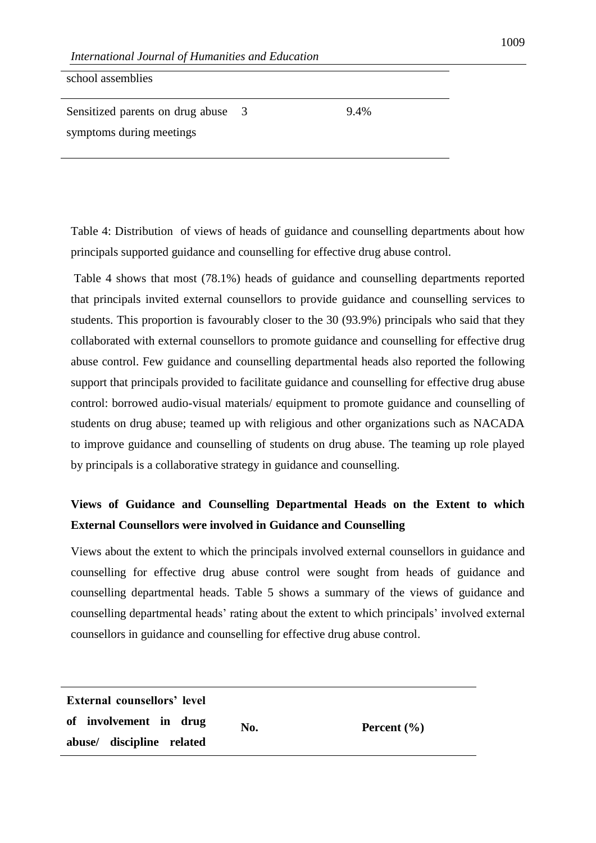| school assemblies                |     |      |
|----------------------------------|-----|------|
| Sensitized parents on drug abuse | - 3 | 9.4% |
| symptoms during meetings         |     |      |

Table 4: Distribution of views of heads of guidance and counselling departments about how principals supported guidance and counselling for effective drug abuse control.

Table 4 shows that most (78.1%) heads of guidance and counselling departments reported that principals invited external counsellors to provide guidance and counselling services to students. This proportion is favourably closer to the 30 (93.9%) principals who said that they collaborated with external counsellors to promote guidance and counselling for effective drug abuse control. Few guidance and counselling departmental heads also reported the following support that principals provided to facilitate guidance and counselling for effective drug abuse control: borrowed audio-visual materials/ equipment to promote guidance and counselling of students on drug abuse; teamed up with religious and other organizations such as NACADA to improve guidance and counselling of students on drug abuse. The teaming up role played by principals is a collaborative strategy in guidance and counselling.

## **Views of Guidance and Counselling Departmental Heads on the Extent to which External Counsellors were involved in Guidance and Counselling**

Views about the extent to which the principals involved external counsellors in guidance and counselling for effective drug abuse control were sought from heads of guidance and counselling departmental heads. Table 5 shows a summary of the views of guidance and counselling departmental heads' rating about the extent to which principals' involved external counsellors in guidance and counselling for effective drug abuse control.

| External counsellors' level |     |                 |
|-----------------------------|-----|-----------------|
| of involvement in drug      | No. | Percent $(\% )$ |
| abuse/ discipline related   |     |                 |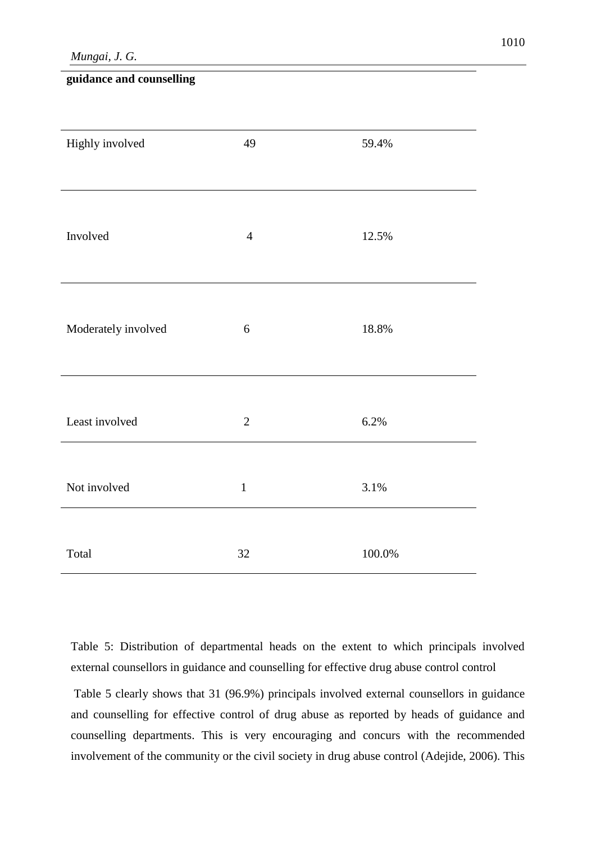*Mungai, J. G.* 

### **guidance and counselling**

| Highly involved     | 49             | 59.4%     |
|---------------------|----------------|-----------|
|                     |                |           |
|                     |                |           |
| Involved            | $\overline{4}$ | 12.5%     |
|                     |                |           |
|                     |                |           |
| Moderately involved | 6              | 18.8%     |
|                     |                |           |
|                     |                |           |
| Least involved      | $\overline{2}$ | 6.2%      |
|                     |                |           |
| Not involved        | $\mathbf 1$    | 3.1%      |
|                     |                |           |
| Total               | $32\,$         | $100.0\%$ |

Table 5: Distribution of departmental heads on the extent to which principals involved external counsellors in guidance and counselling for effective drug abuse control control

Table 5 clearly shows that 31 (96.9%) principals involved external counsellors in guidance and counselling for effective control of drug abuse as reported by heads of guidance and counselling departments. This is very encouraging and concurs with the recommended involvement of the community or the civil society in drug abuse control (Adejide, 2006). This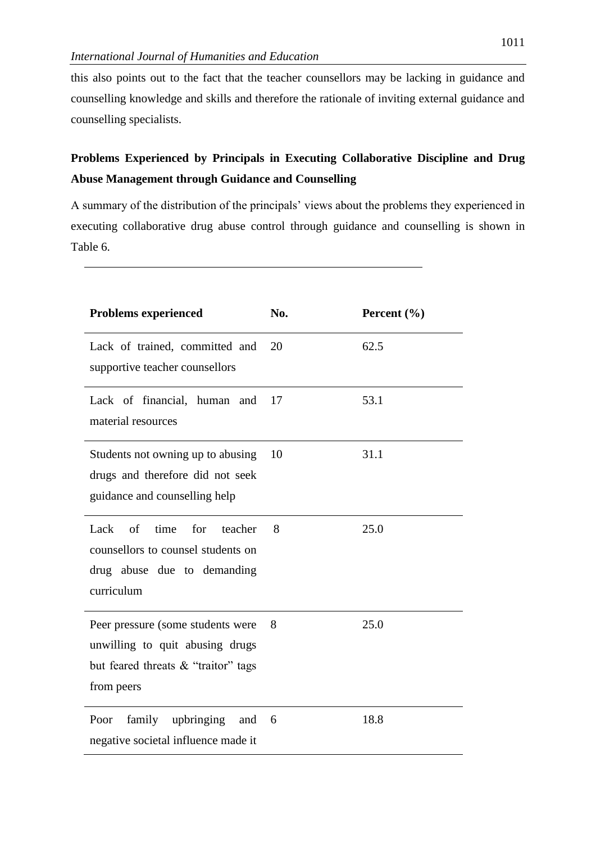this also points out to the fact that the teacher counsellors may be lacking in guidance and counselling knowledge and skills and therefore the rationale of inviting external guidance and counselling specialists.

## **Problems Experienced by Principals in Executing Collaborative Discipline and Drug Abuse Management through Guidance and Counselling**

A summary of the distribution of the principals' views about the problems they experienced in executing collaborative drug abuse control through guidance and counselling is shown in Table 6.

| <b>Problems experienced</b>                                                                                               | No. | Percent $(\% )$ |
|---------------------------------------------------------------------------------------------------------------------------|-----|-----------------|
| Lack of trained, committed and<br>supportive teacher counsellors                                                          | 20  | 62.5            |
| Lack of financial, human and<br>material resources                                                                        | 17  | 53.1            |
| Students not owning up to abusing<br>drugs and therefore did not seek<br>guidance and counselling help                    | 10  | 31.1            |
| Lack<br>of time<br>for<br>teacher<br>counsellors to counsel students on<br>drug abuse due to demanding<br>curriculum      | 8   | 25.0            |
| Peer pressure (some students were<br>unwilling to quit abusing drugs<br>but feared threats & "traitor" tags<br>from peers | 8   | 25.0            |
| family upbringing and<br>Poor<br>negative societal influence made it                                                      | 6   | 18.8            |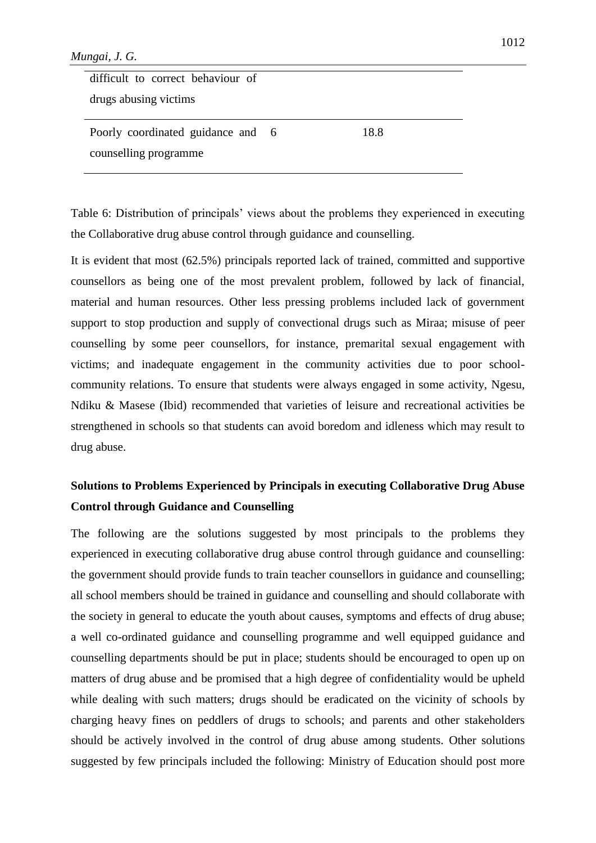| difficult to correct behaviour of |      |
|-----------------------------------|------|
| drugs abusing victims             |      |
|                                   |      |
| Poorly coordinated guidance and 6 | 18.8 |
| counselling programme             |      |

Table 6: Distribution of principals' views about the problems they experienced in executing the Collaborative drug abuse control through guidance and counselling.

It is evident that most (62.5%) principals reported lack of trained, committed and supportive counsellors as being one of the most prevalent problem, followed by lack of financial, material and human resources. Other less pressing problems included lack of government support to stop production and supply of convectional drugs such as Miraa; misuse of peer counselling by some peer counsellors, for instance, premarital sexual engagement with victims; and inadequate engagement in the community activities due to poor schoolcommunity relations. To ensure that students were always engaged in some activity, Ngesu, Ndiku & Masese (Ibid) recommended that varieties of leisure and recreational activities be strengthened in schools so that students can avoid boredom and idleness which may result to drug abuse.

## **Solutions to Problems Experienced by Principals in executing Collaborative Drug Abuse Control through Guidance and Counselling**

The following are the solutions suggested by most principals to the problems they experienced in executing collaborative drug abuse control through guidance and counselling: the government should provide funds to train teacher counsellors in guidance and counselling; all school members should be trained in guidance and counselling and should collaborate with the society in general to educate the youth about causes, symptoms and effects of drug abuse; a well co-ordinated guidance and counselling programme and well equipped guidance and counselling departments should be put in place; students should be encouraged to open up on matters of drug abuse and be promised that a high degree of confidentiality would be upheld while dealing with such matters; drugs should be eradicated on the vicinity of schools by charging heavy fines on peddlers of drugs to schools; and parents and other stakeholders should be actively involved in the control of drug abuse among students. Other solutions suggested by few principals included the following: Ministry of Education should post more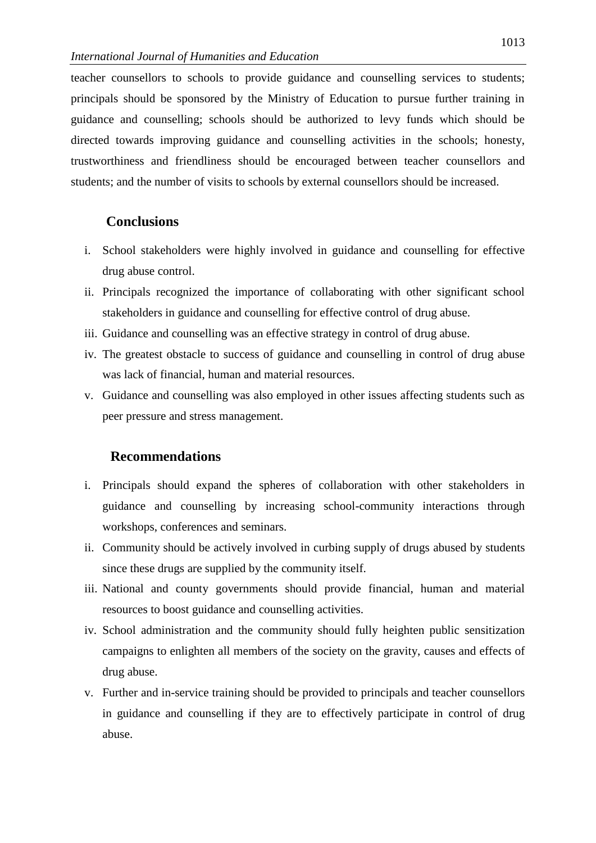teacher counsellors to schools to provide guidance and counselling services to students; principals should be sponsored by the Ministry of Education to pursue further training in guidance and counselling; schools should be authorized to levy funds which should be directed towards improving guidance and counselling activities in the schools; honesty, trustworthiness and friendliness should be encouraged between teacher counsellors and students; and the number of visits to schools by external counsellors should be increased.

### **Conclusions**

- i. School stakeholders were highly involved in guidance and counselling for effective drug abuse control.
- ii. Principals recognized the importance of collaborating with other significant school stakeholders in guidance and counselling for effective control of drug abuse.
- iii. Guidance and counselling was an effective strategy in control of drug abuse.
- iv. The greatest obstacle to success of guidance and counselling in control of drug abuse was lack of financial, human and material resources.
- v. Guidance and counselling was also employed in other issues affecting students such as peer pressure and stress management.

### **Recommendations**

- i. Principals should expand the spheres of collaboration with other stakeholders in guidance and counselling by increasing school-community interactions through workshops, conferences and seminars.
- ii. Community should be actively involved in curbing supply of drugs abused by students since these drugs are supplied by the community itself.
- iii. National and county governments should provide financial, human and material resources to boost guidance and counselling activities.
- iv. School administration and the community should fully heighten public sensitization campaigns to enlighten all members of the society on the gravity, causes and effects of drug abuse.
- v. Further and in-service training should be provided to principals and teacher counsellors in guidance and counselling if they are to effectively participate in control of drug abuse.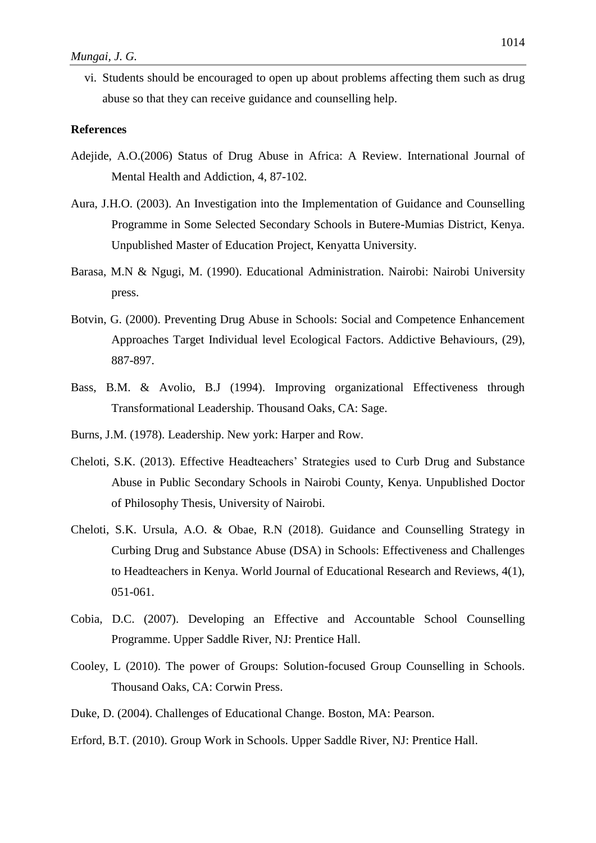vi. Students should be encouraged to open up about problems affecting them such as drug abuse so that they can receive guidance and counselling help.

#### **References**

- Adejide, A.O.(2006) Status of Drug Abuse in Africa: A Review. International Journal of Mental Health and Addiction, 4, 87-102.
- Aura, J.H.O. (2003). An Investigation into the Implementation of Guidance and Counselling Programme in Some Selected Secondary Schools in Butere-Mumias District, Kenya. Unpublished Master of Education Project, Kenyatta University.
- Barasa, M.N & Ngugi, M. (1990). Educational Administration. Nairobi: Nairobi University press.
- Botvin, G. (2000). Preventing Drug Abuse in Schools: Social and Competence Enhancement Approaches Target Individual level Ecological Factors. Addictive Behaviours, (29), 887-897.
- Bass, B.M. & Avolio, B.J (1994). Improving organizational Effectiveness through Transformational Leadership. Thousand Oaks, CA: Sage.
- Burns, J.M. (1978). Leadership. New york: Harper and Row.
- Cheloti, S.K. (2013). Effective Headteachers' Strategies used to Curb Drug and Substance Abuse in Public Secondary Schools in Nairobi County, Kenya. Unpublished Doctor of Philosophy Thesis, University of Nairobi.
- Cheloti, S.K. Ursula, A.O. & Obae, R.N (2018). Guidance and Counselling Strategy in Curbing Drug and Substance Abuse (DSA) in Schools: Effectiveness and Challenges to Headteachers in Kenya. World Journal of Educational Research and Reviews, 4(1), 051-061.
- Cobia, D.C. (2007). Developing an Effective and Accountable School Counselling Programme. Upper Saddle River, NJ: Prentice Hall.
- Cooley, L (2010). The power of Groups: Solution-focused Group Counselling in Schools. Thousand Oaks, CA: Corwin Press.
- Duke, D. (2004). Challenges of Educational Change. Boston, MA: Pearson.
- Erford, B.T. (2010). Group Work in Schools. Upper Saddle River, NJ: Prentice Hall.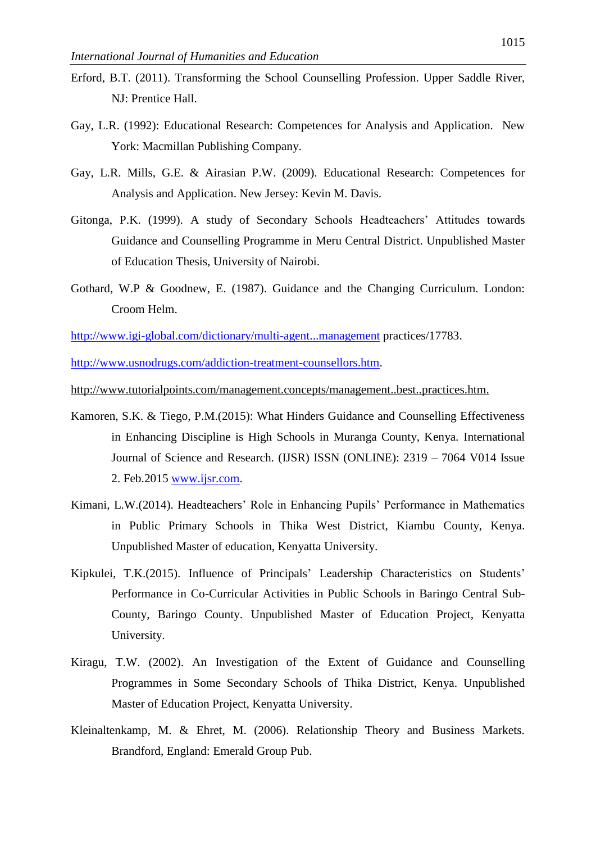- Erford, B.T. (2011). Transforming the School Counselling Profession. Upper Saddle River, NJ: Prentice Hall.
- Gay, L.R. (1992): Educational Research: Competences for Analysis and Application. New York: Macmillan Publishing Company.
- Gay, L.R. Mills, G.E. & Airasian P.W. (2009). Educational Research: Competences for Analysis and Application. New Jersey: Kevin M. Davis.
- Gitonga, P.K. (1999). A study of Secondary Schools Headteachers' Attitudes towards Guidance and Counselling Programme in Meru Central District. Unpublished Master of Education Thesis, University of Nairobi.
- Gothard, W.P & Goodnew, E. (1987). Guidance and the Changing Curriculum. London: Croom Helm.

<http://www.igi-global.com/dictionary/multi-agent...management> practices/17783.

[http://www.usnodrugs.com/addiction-treatment-counsellors.htm.](http://www.usnodrugs.com/addiction-treatment-counselors.htm)

<http://www.tutorialpoints.com/management.concepts/management..best..practices.htm.>

- Kamoren, S.K. & Tiego, P.M.(2015): What Hinders Guidance and Counselling Effectiveness in Enhancing Discipline is High Schools in Muranga County, Kenya. International Journal of Science and Research. (IJSR) ISSN (ONLINE): 2319 – 7064 V014 Issue 2. Feb.2015 [www.ijsr.com.](http://www.ijsr.com/)
- Kimani, L.W.(2014). Headteachers' Role in Enhancing Pupils' Performance in Mathematics in Public Primary Schools in Thika West District, Kiambu County, Kenya. Unpublished Master of education, Kenyatta University.
- Kipkulei, T.K.(2015). Influence of Principals' Leadership Characteristics on Students' Performance in Co-Curricular Activities in Public Schools in Baringo Central Sub-County, Baringo County. Unpublished Master of Education Project, Kenyatta University.
- Kiragu, T.W. (2002). An Investigation of the Extent of Guidance and Counselling Programmes in Some Secondary Schools of Thika District, Kenya. Unpublished Master of Education Project, Kenyatta University.
- Kleinaltenkamp, M. & Ehret, M. (2006). Relationship Theory and Business Markets. Brandford, England: Emerald Group Pub.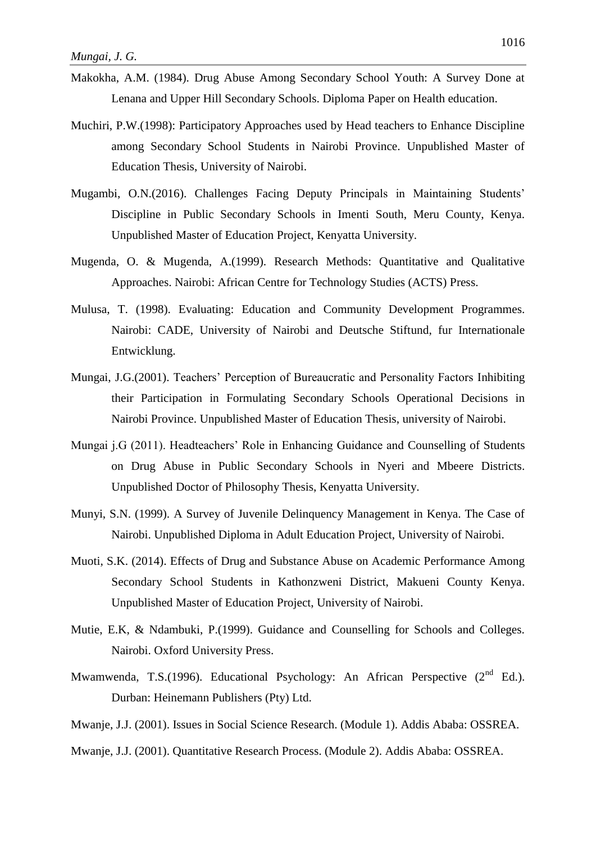- Makokha, A.M. (1984). Drug Abuse Among Secondary School Youth: A Survey Done at Lenana and Upper Hill Secondary Schools. Diploma Paper on Health education.
- Muchiri, P.W.(1998): Participatory Approaches used by Head teachers to Enhance Discipline among Secondary School Students in Nairobi Province. Unpublished Master of Education Thesis, University of Nairobi.
- Mugambi, O.N.(2016). Challenges Facing Deputy Principals in Maintaining Students' Discipline in Public Secondary Schools in Imenti South, Meru County, Kenya. Unpublished Master of Education Project, Kenyatta University.
- Mugenda, O. & Mugenda, A.(1999). Research Methods: Quantitative and Qualitative Approaches. Nairobi: African Centre for Technology Studies (ACTS) Press.
- Mulusa, T. (1998). Evaluating: Education and Community Development Programmes. Nairobi: CADE, University of Nairobi and Deutsche Stiftund, fur Internationale Entwicklung.
- Mungai, J.G.(2001). Teachers' Perception of Bureaucratic and Personality Factors Inhibiting their Participation in Formulating Secondary Schools Operational Decisions in Nairobi Province. Unpublished Master of Education Thesis, university of Nairobi.
- Mungai j.G (2011). Headteachers' Role in Enhancing Guidance and Counselling of Students on Drug Abuse in Public Secondary Schools in Nyeri and Mbeere Districts. Unpublished Doctor of Philosophy Thesis, Kenyatta University.
- Munyi, S.N. (1999). A Survey of Juvenile Delinquency Management in Kenya. The Case of Nairobi. Unpublished Diploma in Adult Education Project, University of Nairobi.
- Muoti, S.K. (2014). Effects of Drug and Substance Abuse on Academic Performance Among Secondary School Students in Kathonzweni District, Makueni County Kenya. Unpublished Master of Education Project, University of Nairobi.
- Mutie, E.K, & Ndambuki, P.(1999). Guidance and Counselling for Schools and Colleges. Nairobi. Oxford University Press.
- Mwamwenda, T.S.(1996). Educational Psychology: An African Perspective  $(2^{nd}$  Ed.). Durban: Heinemann Publishers (Pty) Ltd.
- Mwanje, J.J. (2001). Issues in Social Science Research. (Module 1). Addis Ababa: OSSREA.
- Mwanje, J.J. (2001). Quantitative Research Process. (Module 2). Addis Ababa: OSSREA.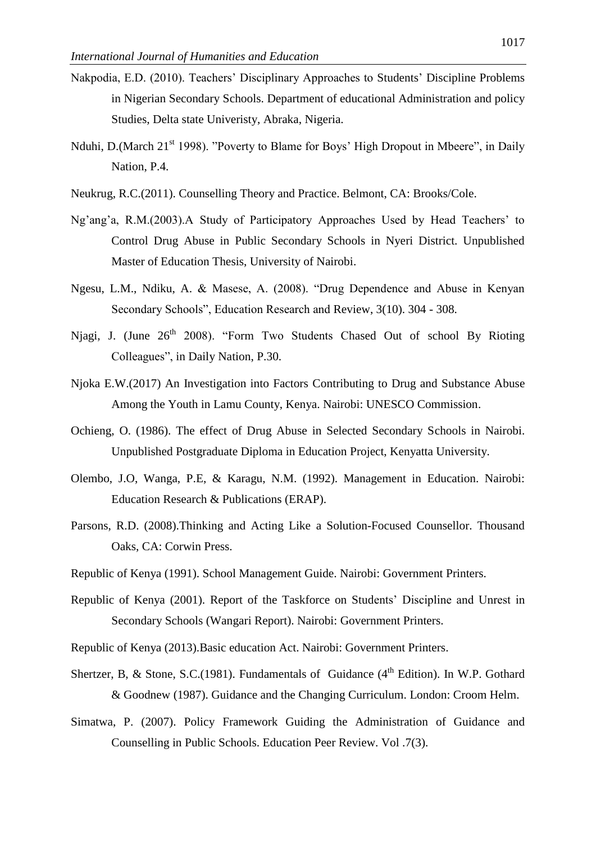- Nakpodia, E.D. (2010). Teachers' Disciplinary Approaches to Students' Discipline Problems in Nigerian Secondary Schools. Department of educational Administration and policy Studies, Delta state Univeristy, Abraka, Nigeria.
- Nduhi, D.(March 21<sup>st</sup> 1998). "Poverty to Blame for Boys' High Dropout in Mbeere", in Daily Nation, P.4.
- Neukrug, R.C.(2011). Counselling Theory and Practice. Belmont, CA: Brooks/Cole.
- Ng'ang'a, R.M.(2003).A Study of Participatory Approaches Used by Head Teachers' to Control Drug Abuse in Public Secondary Schools in Nyeri District. Unpublished Master of Education Thesis, University of Nairobi.
- Ngesu, L.M., Ndiku, A. & Masese, A. (2008). "Drug Dependence and Abuse in Kenyan Secondary Schools", Education Research and Review, 3(10). 304 - 308.
- Niagi. J. (June 26<sup>th</sup> 2008). "Form Two Students Chased Out of school By Rioting Colleagues", in Daily Nation, P.30.
- Njoka E.W.(2017) An Investigation into Factors Contributing to Drug and Substance Abuse Among the Youth in Lamu County, Kenya. Nairobi: UNESCO Commission.
- Ochieng, O. (1986). The effect of Drug Abuse in Selected Secondary Schools in Nairobi. Unpublished Postgraduate Diploma in Education Project, Kenyatta University.
- Olembo, J.O, Wanga, P.E, & Karagu, N.M. (1992). Management in Education. Nairobi: Education Research & Publications (ERAP).
- Parsons, R.D. (2008).Thinking and Acting Like a Solution-Focused Counsellor. Thousand Oaks, CA: Corwin Press.
- Republic of Kenya (1991). School Management Guide. Nairobi: Government Printers.
- Republic of Kenya (2001). Report of the Taskforce on Students' Discipline and Unrest in Secondary Schools (Wangari Report). Nairobi: Government Printers.
- Republic of Kenya (2013).Basic education Act. Nairobi: Government Printers.
- Shertzer, B, & Stone, S.C.(1981). Fundamentals of Guidance ( $4<sup>th</sup>$  Edition). In W.P. Gothard & Goodnew (1987). Guidance and the Changing Curriculum. London: Croom Helm.
- Simatwa, P. (2007). Policy Framework Guiding the Administration of Guidance and Counselling in Public Schools. Education Peer Review. Vol .7(3).